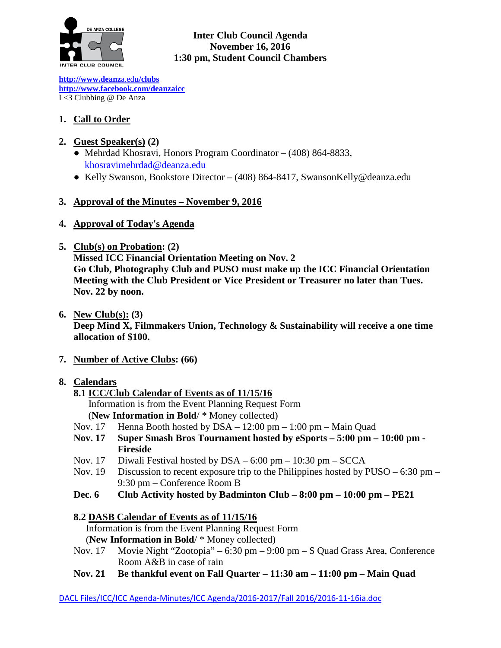

#### **Inter Club Council Agenda November 16, 2016 1:30 pm, Student Council Chambers**

**[http://www.deanz](http://www.deanza.edu/clubs)**[a.ed](http://www.deanza.edu/clubs)**[u/clubs](http://www.deanza.edu/clubs) [http://www.facebook.com/deanzaicc](http://www.facebook.com/home.php#!/group.php?gid=59034552686)** I <3 Clubbing @ De Anza

# **1. Call to Order**

## **2. Guest Speaker(s) (2)**

- Mehrdad Khosravi, Honors Program Coordinator (408) 864-8833, [khosravimehrdad@deanza.edu](mailto:khosravimehrdad@deanza.edu)
- Kelly Swanson, Bookstore Director (408) 864-8417, SwansonKelly@deanza.edu

## **3. Approval of the Minutes – November 9, 2016**

- **4. Approval of Today's Agenda**
- **5. Club(s) on Probation: (2)**

**Missed ICC Financial Orientation Meeting on Nov. 2 Go Club, Photography Club and PUSO must make up the ICC Financial Orientation Meeting with the Club President or Vice President or Treasurer no later than Tues. Nov. 22 by noon.**

**6. New Club(s): (3)**

**Deep Mind X, Filmmakers Union, Technology & Sustainability will receive a one time allocation of \$100.**

**7. Number of Active Clubs: (66)**

## **8. Calendars**

## **8.1 ICC/Club Calendar of Events as of 11/15/16**

 Information is from the Event Planning Request Form (**New Information in Bold**/ \* Money collected)

- Nov. 17 Henna Booth hosted by DSA 12:00 pm 1:00 pm Main Quad
- **Nov. 17 Super Smash Bros Tournament hosted by eSports – 5:00 pm – 10:00 pm - Fireside**
- Nov. 17 Diwali Festival hosted by DSA 6:00 pm 10:30 pm SCCA
- Nov. 19 Discussion to recent exposure trip to the Philippines hosted by PUSO 6:30 pm 9:30 pm – Conference Room B
- **Dec. 6 Club Activity hosted by Badminton Club – 8:00 pm – 10:00 pm – PE21**

## **8.2 DASB Calendar of Events as of 11/15/16**

Information is from the Event Planning Request Form

(**New Information in Bold**/ \* Money collected)

- Nov. 17 Movie Night "Zootopia" 6:30 pm 9:00 pm S Quad Grass Area, Conference Room A&B in case of rain
- **Nov. 21 Be thankful event on Fall Quarter – 11:30 am – 11:00 pm – Main Quad**

DACL Files/ICC/ICC Agenda-Minutes/ICC Agenda/2016-2017/Fall 2016/2016-11-16ia.doc